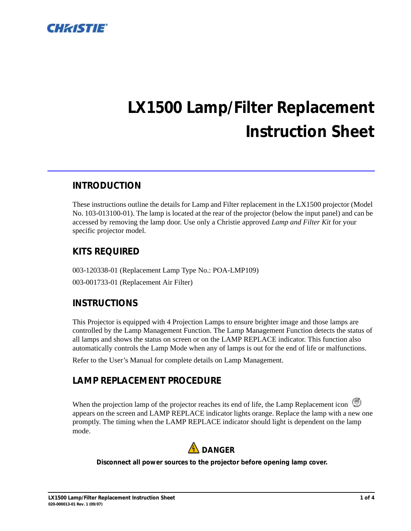

# *LX1500 Lamp/Filter Replacement Instruction Sheet*

## *INTRODUCTION*

These instructions outline the details for Lamp and Filter replacement in the LX1500 projector (Model No. 103-013100-01). The lamp is located at the rear of the projector (below the input panel) and can be accessed by removing the lamp door. Use only a Christie approved *Lamp and Filter Kit* for your specific projector model.

## *KITS REQUIRED*

003-120338-01 (Replacement Lamp Type No.: POA-LMP109) 003-001733-01 (Replacement Air Filter)

## *INSTRUCTIONS*

This Projector is equipped with 4 Projection Lamps to ensure brighter image and those lamps are controlled by the Lamp Management Function. The Lamp Management Function detects the status of all lamps and shows the status on screen or on the LAMP REPLACE indicator. This function also automatically controls the Lamp Mode when any of lamps is out for the end of life or malfunctions.

Refer to the User's Manual for complete details on Lamp Management.

## *LAMP REPLACEMENT PROCEDURE*

When the projection lamp of the projector reaches its end of life, the Lamp Replacement icon appears on the screen and LAMP REPLACE indicator lights orange. Replace the lamp with a new one promptly. The timing when the LAMP REPLACE indicator should light is dependent on the lamp mode.



#### *Disconnect all power sources to the projector before opening lamp cover.*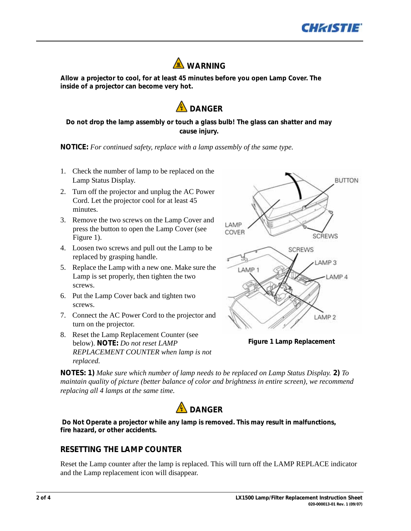



*Allow a projector to cool, for at least 45 minutes before you open Lamp Cover. The inside of a projector can become very hot.*



#### *Do not drop the lamp assembly or touch a glass bulb! The glass can shatter and may cause injury.*

*NOTICE: For continued safety, replace with a lamp assembly of the same type.*

- 1. Check the number of lamp to be replaced on the Lamp Status Display.
- 2. Turn off the projector and unplug the AC Power Cord. Let the projector cool for at least 45 minutes.
- 3. Remove the two screws on the Lamp Cover and press the button to open the Lamp Cover (see Figure 1).
- 4. Loosen two screws and pull out the Lamp to be replaced by grasping handle.
- 5. Replace the Lamp with a new one. Make sure the Lamp is set properly, then tighten the two screws.
- 6. Put the Lamp Cover back and tighten two screws.
- 7. Connect the AC Power Cord to the projector and turn on the projector.
- 8. Reset the Lamp Replacement Counter (see below). *NOTE: Do not reset LAMP REPLACEMENT COUNTER when lamp is not replaced.*



*Figure 1 Lamp Replacement*

*NOTES: 1) Make sure which number of lamp needs to be replaced on Lamp Status Display. 2) To maintain quality of picture (better balance of color and brightness in entire screen), we recommend replacing all 4 lamps at the same time.*



 *Do Not Operate a projector while any lamp is removed. This may result in malfunctions, fire hazard, or other accidents.*

#### *RESETTING THE LAMP COUNTER*

Reset the Lamp counter after the lamp is replaced. This will turn off the LAMP REPLACE indicator and the Lamp replacement icon will disappear.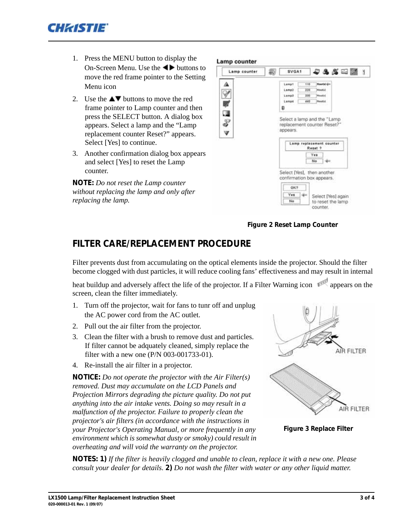

- 1. Press the MENU button to display the On-Screen Menu. Use the  $\blacktriangleleft\blacktriangleright$  buttons to move the red frame pointer to the Setting Menu icon
- 2. Use the  $\triangle \blacktriangledown$  buttons to move the red frame pointer to Lamp counter and then press the SELECT button. A dialog box appears. Select a lamp and the "Lamp replacement counter Reset?" appears. Select [Yes] to continue.
- 3. Another confirmation dialog box appears and select [Yes] to reset the Lamp counter.

*NOTE: Do not reset the Lamp counter without replacing the lamp and only after replacing the lamp.*

#### Lamp counter

 $\frac{1}{2}$ 

| Lamp counter | $-288 - 1$<br>SVGA1                                                                                                             |
|--------------|---------------------------------------------------------------------------------------------------------------------------------|
|              | <b>Hootsi din</b><br>110<br>Lamp1<br>Lamp2<br><b>Massetsi</b><br>220<br>Lamp3<br>330<br>Meurini<br>440<br>Lamp4<br>Maurtxi<br>Ð |
| 人名西瓜人        | Select a lamp and the "Lamp<br>replacement counter Reset?"<br>appears.<br>Lamp replacement counter<br>Reset ?                   |
|              | Yes<br>No<br>Select [Yes], then another                                                                                         |
|              | confirmation box appears.<br>OK?<br>Yes<br>Select [Yes] again<br>No<br>to reset the lamp<br>counter.                            |

*Figure 2 Reset Lamp Counter*

## *FILTER CARE/REPLACEMENT PROCEDURE*

Filter prevents dust from accumulating on the optical elements inside the projector. Should the filter become clogged with dust particles, it will reduce cooling fans' effectiveness and may result in internal

heat buildup and adversely affect the life of the projector. If a Filter Warning icon appears on the screen, clean the filter immediately.

- 1. Turn off the projector, wait for fans to tunr off and unplug the AC power cord from the AC outlet.
- 2. Pull out the air filter from the projector.
- 3. Clean the filter with a brush to remove dust and particles. If filter cannot be adquately cleaned, simply replace the filter with a new one (P/N 003-001733-01).
- 4. Re-install the air filter in a projector.

*NOTICE: Do not operate the projector with the Air Filter(s) removed. Dust may accumulate on the LCD Panels and Projection Mirrors degrading the picture quality. Do not put anything into the air intake vents. Doing so may result in a malfunction of the projector. Failure to properly clean the projector's air filters (in accordance with the instructions in your Projector's Operating Manual, or more frequently in any environment which is somewhat dusty or smoky) could result in overheating and will void the warranty on the projector.*



*Figure 3 Replace Filter*

*NOTES: 1) If the filter is heavily clogged and unable to clean, replace it with a new one. Please consult your dealer for details. 2) Do not wash the filter with water or any other liquid matter.*